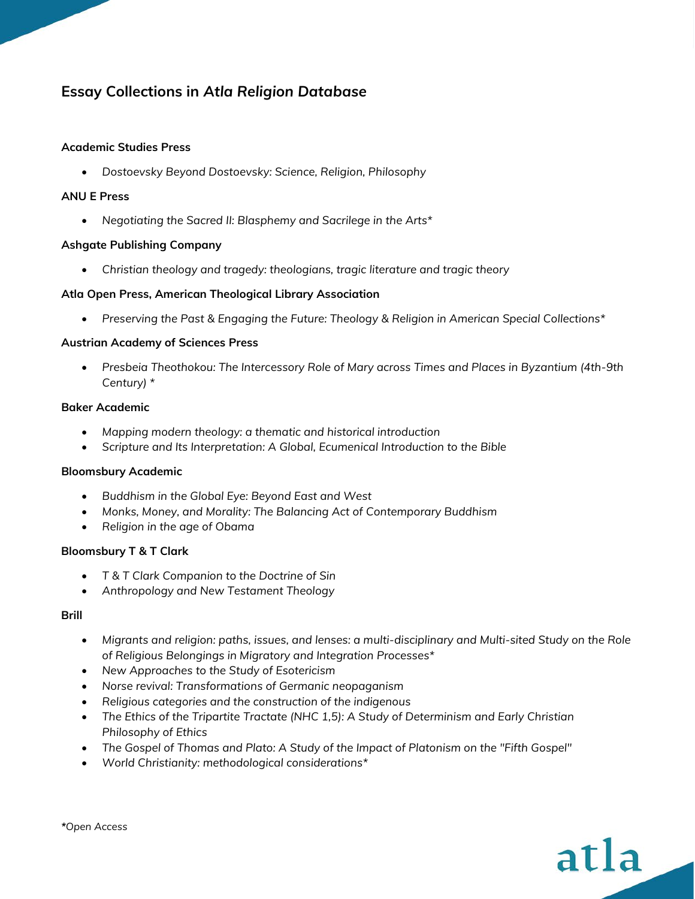# **Essay Collections in** *Atla Religion Database*

### **Academic Studies Press**

• *Dostoevsky Beyond Dostoevsky: Science, Religion, Philosophy*

### **ANU E Press**

• *Negotiating the Sacred II: Blasphemy and Sacrilege in the Arts\**

### **Ashgate Publishing Company**

• *Christian theology and tragedy: theologians, tragic literature and tragic theory*

# **Atla Open Press, American Theological Library Association**

• *Preserving the Past & Engaging the Future: Theology & Religion in American Special Collections\**

### **Austrian Academy of Sciences Press**

• *Presbeia Theothokou: The Intercessory Role of Mary across Times and Places in Byzantium (4th-9th Century) \**

### **Baker Academic**

- *Mapping modern theology: a thematic and historical introduction*
- *Scripture and Its Interpretation: A Global, Ecumenical Introduction to the Bible*

# **Bloomsbury Academic**

- *Buddhism in the Global Eye: Beyond East and West*
- *Monks, Money, and Morality: The Balancing Act of Contemporary Buddhism*
- *Religion in the age of Obama*

#### **Bloomsbury T & T Clark**

- *T & T Clark Companion to the Doctrine of Sin*
- *Anthropology and New Testament Theology*

#### **Brill**

- *Migrants and religion: paths, issues, and lenses: a multi-disciplinary and Multi-sited Study on the Role of Religious Belongings in Migratory and Integration Processes\**
- *New Approaches to the Study of Esotericism*
- *Norse revival: Transformations of Germanic neopaganism*
- *Religious categories and the construction of the indigenous*
- *The Ethics of the Tripartite Tractate (NHC 1,5): A Study of Determinism and Early Christian Philosophy of Ethics*
- *The Gospel of Thomas and Plato: A Study of the Impact of Platonism on the "Fifth Gospel"*
- *World Christianity: methodological considerations\**

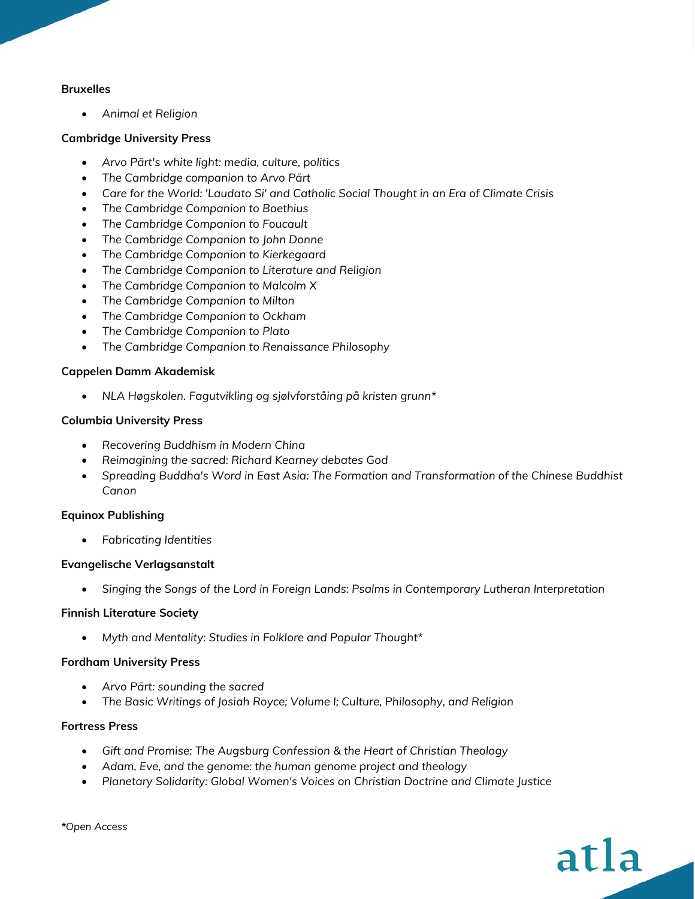### **Bruxelles**

• *Animal et Religion*

### **Cambridge University Press**

- *Arvo Pärt's white light: media, culture, politics*
- *The Cambridge companion to Arvo Pärt*
- *Care for the World: 'Laudato Si' and Catholic Social Thought in an Era of Climate Crisis*
- *The Cambridge Companion to Boethius*
- *The Cambridge Companion to Foucault*
- *The Cambridge Companion to John Donne*
- *The Cambridge Companion to Kierkegaard*
- *The Cambridge Companion to Literature and Religion*
- *The Cambridge Companion to Malcolm X*
- *The Cambridge Companion to Milton*
- *The Cambridge Companion to Ockham*
- *The Cambridge Companion to Plato*
- *The Cambridge Companion to Renaissance Philosophy*

# **Cappelen Damm Akademisk**

• *NLA Høgskolen. Fagutvikling og sjølvforståing på kristen grunn\**

# **Columbia University Press**

- *Recovering Buddhism in Modern China*
- *Reimagining the sacred: Richard Kearney debates God*
- *Spreading Buddha's Word in East Asia: The Formation and Transformation of the Chinese Buddhist Canon*

# **Equinox Publishing**

• *Fabricating Identities*

# **Evangelische Verlagsanstalt**

• *Singing the Songs of the Lord in Foreign Lands: Psalms in Contemporary Lutheran Interpretation*

# **Finnish Literature Society**

• *Myth and Mentality: Studies in Folklore and Popular Thought\**

#### **Fordham University Press**

- *Arvo Pärt: sounding the sacred*
- *The Basic Writings of Josiah Royce; Volume I; Culture, Philosophy, and Religion*

### **Fortress Press**

- *Gift and Promise: The Augsburg Confession & the Heart of Christian Theology*
- *Adam, Eve, and the genome: the human genome project and theology*
- *Planetary Solidarity: Global Women's Voices on Christian Doctrine and Climate Justice*

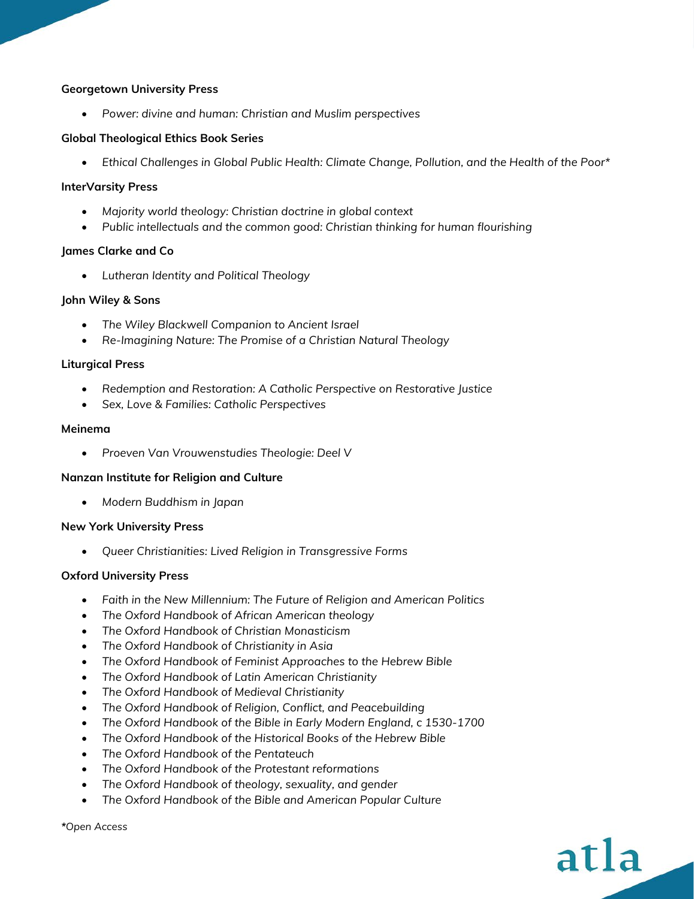### **Georgetown University Press**

• *Power: divine and human: Christian and Muslim perspectives*

### **Global Theological Ethics Book Series**

• *Ethical Challenges in Global Public Health: Climate Change, Pollution, and the Health of the Poor\**

### **InterVarsity Press**

- *Majority world theology: Christian doctrine in global context*
- *Public intellectuals and the common good: Christian thinking for human flourishing*

### **James Clarke and Co**

• *Lutheran Identity and Political Theology*

### **John Wiley & Sons**

- *The Wiley Blackwell Companion to Ancient Israel*
- *Re-Imagining Nature: The Promise of a Christian Natural Theology*

### **Liturgical Press**

- *Redemption and Restoration: A Catholic Perspective on Restorative Justice*
- *Sex, Love & Families: Catholic Perspectives*

#### **Meinema**

• *Proeven Van Vrouwenstudies Theologie: Deel V*

# **Nanzan Institute for Religion and Culture**

• *Modern Buddhism in Japan*

#### **New York University Press**

• *Queer Christianities: Lived Religion in Transgressive Forms*

#### **Oxford University Press**

- *Faith in the New Millennium: The Future of Religion and American Politics*
- *The Oxford Handbook of African American theology*
- *The Oxford Handbook of Christian Monasticism*
- *The Oxford Handbook of Christianity in Asia*
- *The Oxford Handbook of Feminist Approaches to the Hebrew Bible*
- *The Oxford Handbook of Latin American Christianity*
- *The Oxford Handbook of Medieval Christianity*
- *The Oxford Handbook of Religion, Conflict, and Peacebuilding*
- *The Oxford Handbook of the Bible in Early Modern England, c 1530-1700*

atla

- *The Oxford Handbook of the Historical Books of the Hebrew Bible*
- *The Oxford Handbook of the Pentateuch*
- *The Oxford Handbook of the Protestant reformations*
- *The Oxford Handbook of theology, sexuality, and gender*
- *The Oxford Handbook of the Bible and American Popular Culture*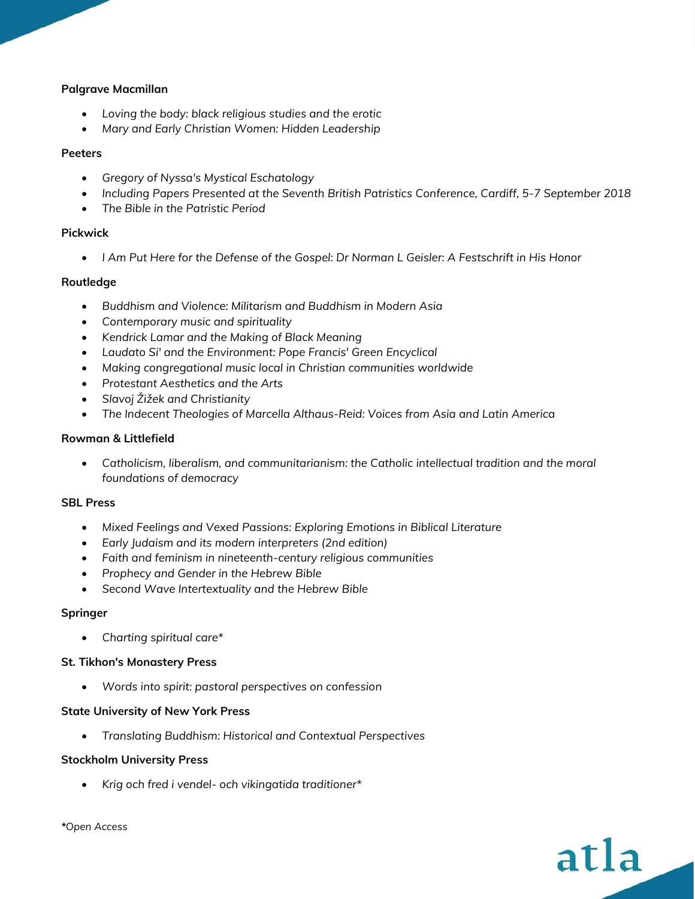# **Palgrave Macmillan**

- *Loving the body: black religious studies and the erotic*
- *Mary and Early Christian Women: Hidden Leadership*

# **Peeters**

- *Gregory of Nyssa's Mystical Eschatology*
- *Including Papers Presented at the Seventh British Patristics Conference, Cardiff, 5-7 September 2018*
- *The Bible in the Patristic Period*

# **Pickwick**

• *I Am Put Here for the Defense of the Gospel: Dr Norman L Geisler: A Festschrift in His Honor*

# **Routledge**

- *Buddhism and Violence: Militarism and Buddhism in Modern Asia*
- *Contemporary music and spirituality*
- *Kendrick Lamar and the Making of Black Meaning*
- *Laudato Si' and the Environment: Pope Francis' Green Encyclical*
- *Making congregational music local in Christian communities worldwide*
- *Protestant Aesthetics and the Arts*
- *Slavoj Žižek and Christianity*
- *The Indecent Theologies of Marcella Althaus-Reid: Voices from Asia and Latin America*

# **Rowman & Littlefield**

• *Catholicism, liberalism, and communitarianism: the Catholic intellectual tradition and the moral foundations of democracy*

# **SBL Press**

- *Mixed Feelings and Vexed Passions: Exploring Emotions in Biblical Literature*
- *Early Judaism and its modern interpreters (2nd edition)*
- *Faith and feminism in nineteenth-century religious communities*
- *Prophecy and Gender in the Hebrew Bible*
- *Second Wave Intertextuality and the Hebrew Bible*

# **Springer**

• *Charting spiritual care\**

# **St. Tikhon's Monastery Press**

• *Words into spirit: pastoral perspectives on confession*

# **State University of New York Press**

• *Translating Buddhism: Historical and Contextual Perspectives*

# **Stockholm University Press**

• *Krig och fred i vendel- och vikingatida traditioner\**

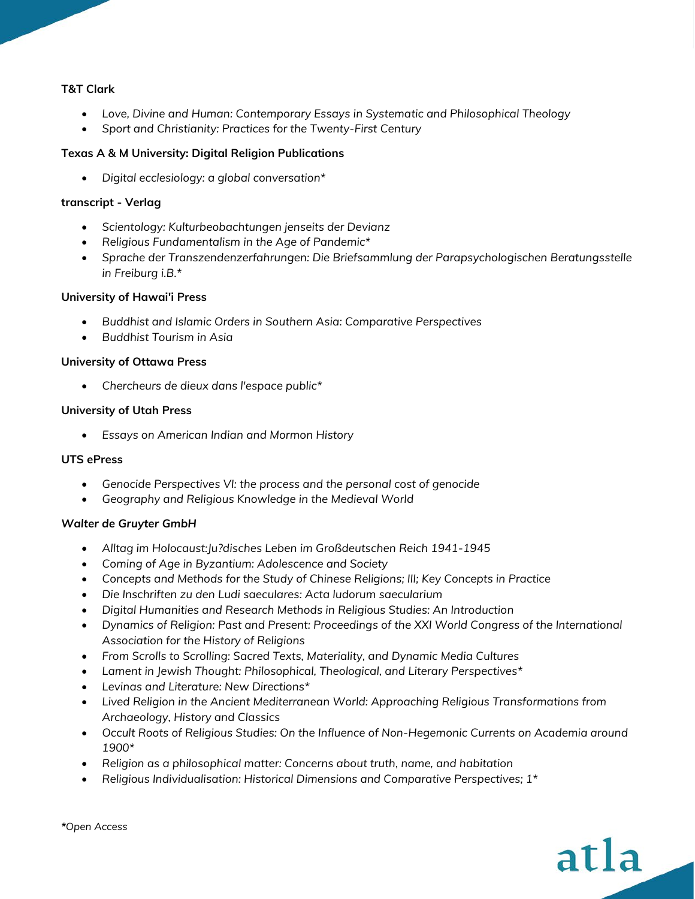# **T&T Clark**

- *Love, Divine and Human: Contemporary Essays in Systematic and Philosophical Theology*
- *Sport and Christianity: Practices for the Twenty-First Century*

# **Texas A & M University: Digital Religion Publications**

• *Digital ecclesiology: a global conversation\**

# **transcript - Verlag**

- *Scientology: Kulturbeobachtungen jenseits der Devianz*
- *Religious Fundamentalism in the Age of Pandemic\**
- *Sprache der Transzendenzerfahrungen: Die Briefsammlung der Parapsychologischen Beratungsstelle in Freiburg i.B.\**

# **University of Hawai'i Press**

- *Buddhist and Islamic Orders in Southern Asia: Comparative Perspectives*
- *Buddhist Tourism in Asia*

# **University of Ottawa Press**

• *Chercheurs de dieux dans l'espace public\**

# **University of Utah Press**

• *Essays on American Indian and Mormon History*

# **UTS ePress**

- *Genocide Perspectives VI: the process and the personal cost of genocide*
- *Geography and Religious Knowledge in the Medieval World*

# *Walter de Gruyter GmbH*

- *Alltag im Holocaust:Ju?disches Leben im Großdeutschen Reich 1941-1945*
- *Coming of Age in Byzantium: Adolescence and Society*
- *Concepts and Methods for the Study of Chinese Religions; III; Key Concepts in Practice*
- *Die Inschriften zu den Ludi saeculares: Acta ludorum saecularium*
- *Digital Humanities and Research Methods in Religious Studies: An Introduction*
- *Dynamics of Religion: Past and Present: Proceedings of the XXI World Congress of the International Association for the History of Religions*
- *From Scrolls to Scrolling: Sacred Texts, Materiality, and Dynamic Media Cultures*
- *Lament in Jewish Thought: Philosophical, Theological, and Literary Perspectives\**
- *Levinas and Literature: New Directions\**
- *Lived Religion in the Ancient Mediterranean World: Approaching Religious Transformations from Archaeology, History and Classics*
- *Occult Roots of Religious Studies: On the Influence of Non-Hegemonic Currents on Academia around 1900\**
- *Religion as a philosophical matter: Concerns about truth, name, and habitation*
- *Religious Individualisation: Historical Dimensions and Comparative Perspectives; 1\**